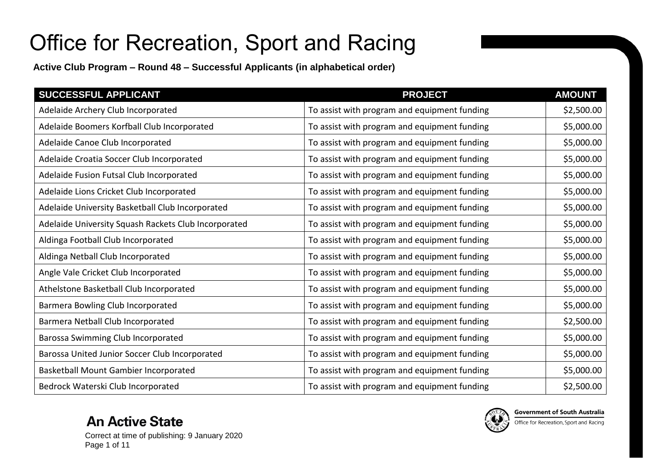**Active Club Program – Round 48 – Successful Applicants (in alphabetical order)**

| SUCCESSFUL APPLICANT                                 | <b>PROJECT</b>                               | <b>AMOUNT</b> |
|------------------------------------------------------|----------------------------------------------|---------------|
| Adelaide Archery Club Incorporated                   | To assist with program and equipment funding | \$2,500.00    |
| Adelaide Boomers Korfball Club Incorporated          | To assist with program and equipment funding | \$5,000.00    |
| Adelaide Canoe Club Incorporated                     | To assist with program and equipment funding | \$5,000.00    |
| Adelaide Croatia Soccer Club Incorporated            | To assist with program and equipment funding | \$5,000.00    |
| Adelaide Fusion Futsal Club Incorporated             | To assist with program and equipment funding | \$5,000.00    |
| Adelaide Lions Cricket Club Incorporated             | To assist with program and equipment funding | \$5,000.00    |
| Adelaide University Basketball Club Incorporated     | To assist with program and equipment funding | \$5,000.00    |
| Adelaide University Squash Rackets Club Incorporated | To assist with program and equipment funding | \$5,000.00    |
| Aldinga Football Club Incorporated                   | To assist with program and equipment funding | \$5,000.00    |
| Aldinga Netball Club Incorporated                    | To assist with program and equipment funding | \$5,000.00    |
| Angle Vale Cricket Club Incorporated                 | To assist with program and equipment funding | \$5,000.00    |
| Athelstone Basketball Club Incorporated              | To assist with program and equipment funding | \$5,000.00    |
| Barmera Bowling Club Incorporated                    | To assist with program and equipment funding | \$5,000.00    |
| Barmera Netball Club Incorporated                    | To assist with program and equipment funding | \$2,500.00    |
| Barossa Swimming Club Incorporated                   | To assist with program and equipment funding | \$5,000.00    |
| Barossa United Junior Soccer Club Incorporated       | To assist with program and equipment funding | \$5,000.00    |
| Basketball Mount Gambier Incorporated                | To assist with program and equipment funding | \$5,000.00    |
| Bedrock Waterski Club Incorporated                   | To assist with program and equipment funding | \$2,500.00    |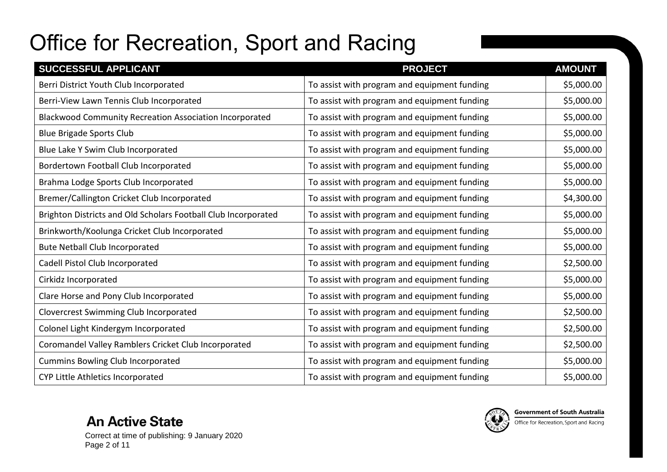| SUCCESSFUL APPLICANT                                           | <b>PROJECT</b>                               | <b>AMOUNT</b> |
|----------------------------------------------------------------|----------------------------------------------|---------------|
| Berri District Youth Club Incorporated                         | To assist with program and equipment funding | \$5,000.00    |
| Berri-View Lawn Tennis Club Incorporated                       | To assist with program and equipment funding | \$5,000.00    |
| Blackwood Community Recreation Association Incorporated        | To assist with program and equipment funding | \$5,000.00    |
| <b>Blue Brigade Sports Club</b>                                | To assist with program and equipment funding | \$5,000.00    |
| Blue Lake Y Swim Club Incorporated                             | To assist with program and equipment funding | \$5,000.00    |
| Bordertown Football Club Incorporated                          | To assist with program and equipment funding | \$5,000.00    |
| Brahma Lodge Sports Club Incorporated                          | To assist with program and equipment funding | \$5,000.00    |
| Bremer/Callington Cricket Club Incorporated                    | To assist with program and equipment funding | \$4,300.00    |
| Brighton Districts and Old Scholars Football Club Incorporated | To assist with program and equipment funding | \$5,000.00    |
| Brinkworth/Koolunga Cricket Club Incorporated                  | To assist with program and equipment funding | \$5,000.00    |
| <b>Bute Netball Club Incorporated</b>                          | To assist with program and equipment funding | \$5,000.00    |
| Cadell Pistol Club Incorporated                                | To assist with program and equipment funding | \$2,500.00    |
| Cirkidz Incorporated                                           | To assist with program and equipment funding | \$5,000.00    |
| Clare Horse and Pony Club Incorporated                         | To assist with program and equipment funding | \$5,000.00    |
| <b>Clovercrest Swimming Club Incorporated</b>                  | To assist with program and equipment funding | \$2,500.00    |
| Colonel Light Kindergym Incorporated                           | To assist with program and equipment funding | \$2,500.00    |
| Coromandel Valley Ramblers Cricket Club Incorporated           | To assist with program and equipment funding | \$2,500.00    |
| <b>Cummins Bowling Club Incorporated</b>                       | To assist with program and equipment funding | \$5,000.00    |
| CYP Little Athletics Incorporated                              | To assist with program and equipment funding | \$5,000.00    |

**An Active State** 



Correct at time of publishing: 9 January 2020 Page 2 of 11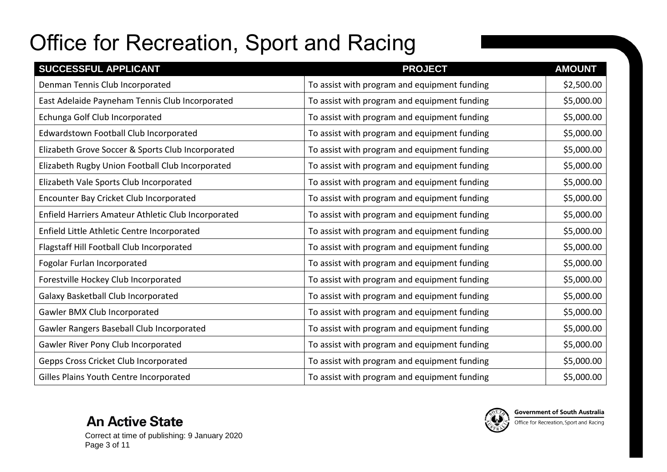| SUCCESSFUL APPLICANT                                | <b>PROJECT</b>                               | <b>AMOUNT</b> |
|-----------------------------------------------------|----------------------------------------------|---------------|
| Denman Tennis Club Incorporated                     | To assist with program and equipment funding | \$2,500.00    |
| East Adelaide Payneham Tennis Club Incorporated     | To assist with program and equipment funding | \$5,000.00    |
| Echunga Golf Club Incorporated                      | To assist with program and equipment funding | \$5,000.00    |
| Edwardstown Football Club Incorporated              | To assist with program and equipment funding | \$5,000.00    |
| Elizabeth Grove Soccer & Sports Club Incorporated   | To assist with program and equipment funding | \$5,000.00    |
| Elizabeth Rugby Union Football Club Incorporated    | To assist with program and equipment funding | \$5,000.00    |
| Elizabeth Vale Sports Club Incorporated             | To assist with program and equipment funding | \$5,000.00    |
| Encounter Bay Cricket Club Incorporated             | To assist with program and equipment funding | \$5,000.00    |
| Enfield Harriers Amateur Athletic Club Incorporated | To assist with program and equipment funding | \$5,000.00    |
| Enfield Little Athletic Centre Incorporated         | To assist with program and equipment funding | \$5,000.00    |
| Flagstaff Hill Football Club Incorporated           | To assist with program and equipment funding | \$5,000.00    |
| Fogolar Furlan Incorporated                         | To assist with program and equipment funding | \$5,000.00    |
| Forestville Hockey Club Incorporated                | To assist with program and equipment funding | \$5,000.00    |
| Galaxy Basketball Club Incorporated                 | To assist with program and equipment funding | \$5,000.00    |
| Gawler BMX Club Incorporated                        | To assist with program and equipment funding | \$5,000.00    |
| Gawler Rangers Baseball Club Incorporated           | To assist with program and equipment funding | \$5,000.00    |
| Gawler River Pony Club Incorporated                 | To assist with program and equipment funding | \$5,000.00    |
| Gepps Cross Cricket Club Incorporated               | To assist with program and equipment funding | \$5,000.00    |
| Gilles Plains Youth Centre Incorporated             | To assist with program and equipment funding | \$5,000.00    |

**An Active State** Correct at time of publishing: 9 January 2020 Page 3 of 11

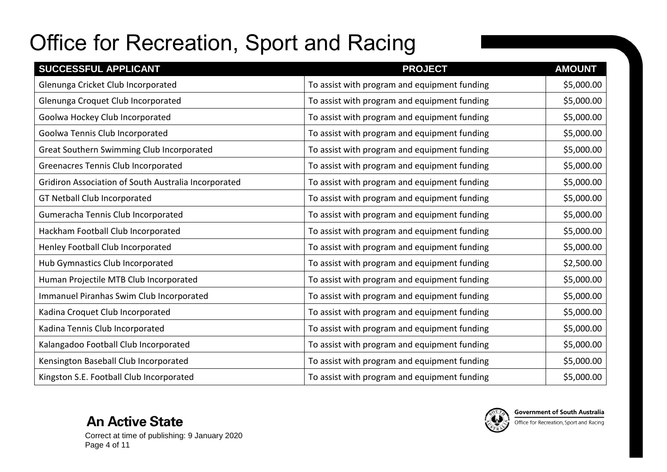| SUCCESSFUL APPLICANT                                 | <b>PROJECT</b>                               | <b>AMOUNT</b> |
|------------------------------------------------------|----------------------------------------------|---------------|
| Glenunga Cricket Club Incorporated                   | To assist with program and equipment funding | \$5,000.00    |
| Glenunga Croquet Club Incorporated                   | To assist with program and equipment funding | \$5,000.00    |
| Goolwa Hockey Club Incorporated                      | To assist with program and equipment funding | \$5,000.00    |
| Goolwa Tennis Club Incorporated                      | To assist with program and equipment funding | \$5,000.00    |
| Great Southern Swimming Club Incorporated            | To assist with program and equipment funding | \$5,000.00    |
| Greenacres Tennis Club Incorporated                  | To assist with program and equipment funding | \$5,000.00    |
| Gridiron Association of South Australia Incorporated | To assist with program and equipment funding | \$5,000.00    |
| GT Netball Club Incorporated                         | To assist with program and equipment funding | \$5,000.00    |
| Gumeracha Tennis Club Incorporated                   | To assist with program and equipment funding | \$5,000.00    |
| Hackham Football Club Incorporated                   | To assist with program and equipment funding | \$5,000.00    |
| Henley Football Club Incorporated                    | To assist with program and equipment funding | \$5,000.00    |
| Hub Gymnastics Club Incorporated                     | To assist with program and equipment funding | \$2,500.00    |
| Human Projectile MTB Club Incorporated               | To assist with program and equipment funding | \$5,000.00    |
| Immanuel Piranhas Swim Club Incorporated             | To assist with program and equipment funding | \$5,000.00    |
| Kadina Croquet Club Incorporated                     | To assist with program and equipment funding | \$5,000.00    |
| Kadina Tennis Club Incorporated                      | To assist with program and equipment funding | \$5,000.00    |
| Kalangadoo Football Club Incorporated                | To assist with program and equipment funding | \$5,000.00    |
| Kensington Baseball Club Incorporated                | To assist with program and equipment funding | \$5,000.00    |
| Kingston S.E. Football Club Incorporated             | To assist with program and equipment funding | \$5,000.00    |



Correct at time of publishing: 9 January 2020 Page 4 of 11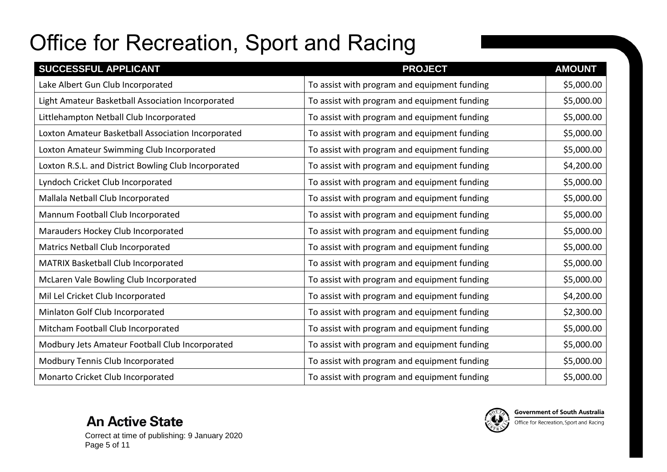| SUCCESSFUL APPLICANT                                 | <b>PROJECT</b>                               | <b>AMOUNT</b> |
|------------------------------------------------------|----------------------------------------------|---------------|
| Lake Albert Gun Club Incorporated                    | To assist with program and equipment funding | \$5,000.00    |
| Light Amateur Basketball Association Incorporated    | To assist with program and equipment funding | \$5,000.00    |
| Littlehampton Netball Club Incorporated              | To assist with program and equipment funding | \$5,000.00    |
| Loxton Amateur Basketball Association Incorporated   | To assist with program and equipment funding | \$5,000.00    |
| Loxton Amateur Swimming Club Incorporated            | To assist with program and equipment funding | \$5,000.00    |
| Loxton R.S.L. and District Bowling Club Incorporated | To assist with program and equipment funding | \$4,200.00    |
| Lyndoch Cricket Club Incorporated                    | To assist with program and equipment funding | \$5,000.00    |
| Mallala Netball Club Incorporated                    | To assist with program and equipment funding | \$5,000.00    |
| Mannum Football Club Incorporated                    | To assist with program and equipment funding | \$5,000.00    |
| Marauders Hockey Club Incorporated                   | To assist with program and equipment funding | \$5,000.00    |
| Matrics Netball Club Incorporated                    | To assist with program and equipment funding | \$5,000.00    |
| MATRIX Basketball Club Incorporated                  | To assist with program and equipment funding | \$5,000.00    |
| McLaren Vale Bowling Club Incorporated               | To assist with program and equipment funding | \$5,000.00    |
| Mil Lel Cricket Club Incorporated                    | To assist with program and equipment funding | \$4,200.00    |
| Minlaton Golf Club Incorporated                      | To assist with program and equipment funding | \$2,300.00    |
| Mitcham Football Club Incorporated                   | To assist with program and equipment funding | \$5,000.00    |
| Modbury Jets Amateur Football Club Incorporated      | To assist with program and equipment funding | \$5,000.00    |
| Modbury Tennis Club Incorporated                     | To assist with program and equipment funding | \$5,000.00    |
| Monarto Cricket Club Incorporated                    | To assist with program and equipment funding | \$5,000.00    |

**An Active State** 

Correct at time of publishing: 9 January 2020 Page 5 of 11



Office for Recreation, Sport and Racing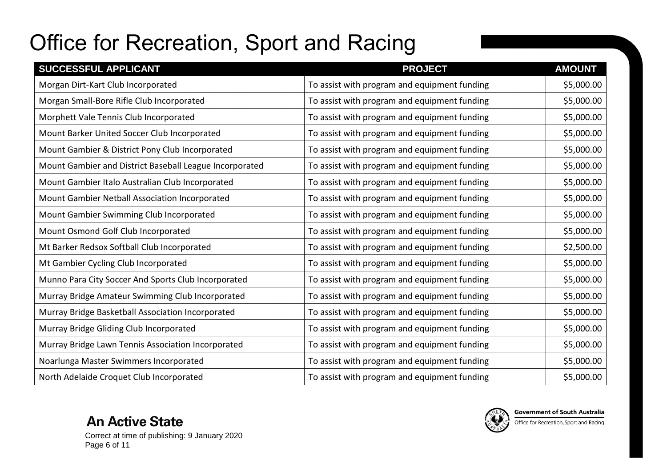| SUCCESSFUL APPLICANT                                    | <b>PROJECT</b>                               | <b>AMOUNT</b> |
|---------------------------------------------------------|----------------------------------------------|---------------|
| Morgan Dirt-Kart Club Incorporated                      | To assist with program and equipment funding | \$5,000.00    |
| Morgan Small-Bore Rifle Club Incorporated               | To assist with program and equipment funding | \$5,000.00    |
| Morphett Vale Tennis Club Incorporated                  | To assist with program and equipment funding | \$5,000.00    |
| Mount Barker United Soccer Club Incorporated            | To assist with program and equipment funding | \$5,000.00    |
| Mount Gambier & District Pony Club Incorporated         | To assist with program and equipment funding | \$5,000.00    |
| Mount Gambier and District Baseball League Incorporated | To assist with program and equipment funding | \$5,000.00    |
| Mount Gambier Italo Australian Club Incorporated        | To assist with program and equipment funding | \$5,000.00    |
| Mount Gambier Netball Association Incorporated          | To assist with program and equipment funding | \$5,000.00    |
| Mount Gambier Swimming Club Incorporated                | To assist with program and equipment funding | \$5,000.00    |
| Mount Osmond Golf Club Incorporated                     | To assist with program and equipment funding | \$5,000.00    |
| Mt Barker Redsox Softball Club Incorporated             | To assist with program and equipment funding | \$2,500.00    |
| Mt Gambier Cycling Club Incorporated                    | To assist with program and equipment funding | \$5,000.00    |
| Munno Para City Soccer And Sports Club Incorporated     | To assist with program and equipment funding | \$5,000.00    |
| Murray Bridge Amateur Swimming Club Incorporated        | To assist with program and equipment funding | \$5,000.00    |
| Murray Bridge Basketball Association Incorporated       | To assist with program and equipment funding | \$5,000.00    |
| Murray Bridge Gliding Club Incorporated                 | To assist with program and equipment funding | \$5,000.00    |
| Murray Bridge Lawn Tennis Association Incorporated      | To assist with program and equipment funding | \$5,000.00    |
| Noarlunga Master Swimmers Incorporated                  | To assist with program and equipment funding | \$5,000.00    |
| North Adelaide Croquet Club Incorporated                | To assist with program and equipment funding | \$5,000.00    |

Correct at time of publishing: 9 January 2020

Page 6 of 11

**An Active State** 



Office for Recreation, Sport and Racing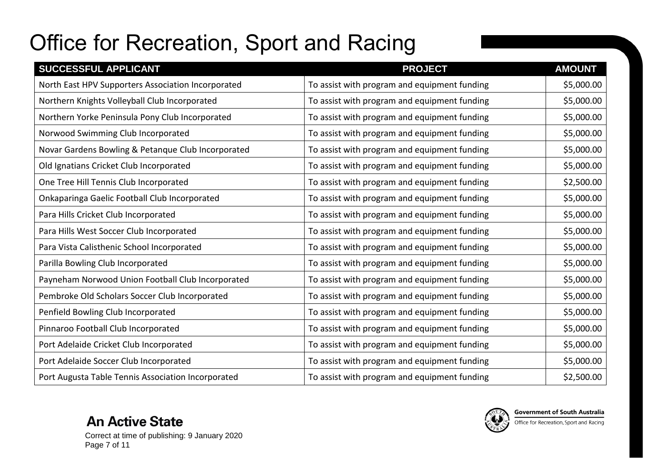| SUCCESSFUL APPLICANT                               | <b>PROJECT</b>                               | <b>AMOUNT</b> |
|----------------------------------------------------|----------------------------------------------|---------------|
| North East HPV Supporters Association Incorporated | To assist with program and equipment funding | \$5,000.00    |
| Northern Knights Volleyball Club Incorporated      | To assist with program and equipment funding | \$5,000.00    |
| Northern Yorke Peninsula Pony Club Incorporated    | To assist with program and equipment funding | \$5,000.00    |
| Norwood Swimming Club Incorporated                 | To assist with program and equipment funding | \$5,000.00    |
| Novar Gardens Bowling & Petanque Club Incorporated | To assist with program and equipment funding | \$5,000.00    |
| Old Ignatians Cricket Club Incorporated            | To assist with program and equipment funding | \$5,000.00    |
| One Tree Hill Tennis Club Incorporated             | To assist with program and equipment funding | \$2,500.00    |
| Onkaparinga Gaelic Football Club Incorporated      | To assist with program and equipment funding | \$5,000.00    |
| Para Hills Cricket Club Incorporated               | To assist with program and equipment funding | \$5,000.00    |
| Para Hills West Soccer Club Incorporated           | To assist with program and equipment funding | \$5,000.00    |
| Para Vista Calisthenic School Incorporated         | To assist with program and equipment funding | \$5,000.00    |
| Parilla Bowling Club Incorporated                  | To assist with program and equipment funding | \$5,000.00    |
| Payneham Norwood Union Football Club Incorporated  | To assist with program and equipment funding | \$5,000.00    |
| Pembroke Old Scholars Soccer Club Incorporated     | To assist with program and equipment funding | \$5,000.00    |
| Penfield Bowling Club Incorporated                 | To assist with program and equipment funding | \$5,000.00    |
| Pinnaroo Football Club Incorporated                | To assist with program and equipment funding | \$5,000.00    |
| Port Adelaide Cricket Club Incorporated            | To assist with program and equipment funding | \$5,000.00    |
| Port Adelaide Soccer Club Incorporated             | To assist with program and equipment funding | \$5,000.00    |
| Port Augusta Table Tennis Association Incorporated | To assist with program and equipment funding | \$2,500.00    |



Correct at time of publishing: 9 January 2020 Page 7 of 11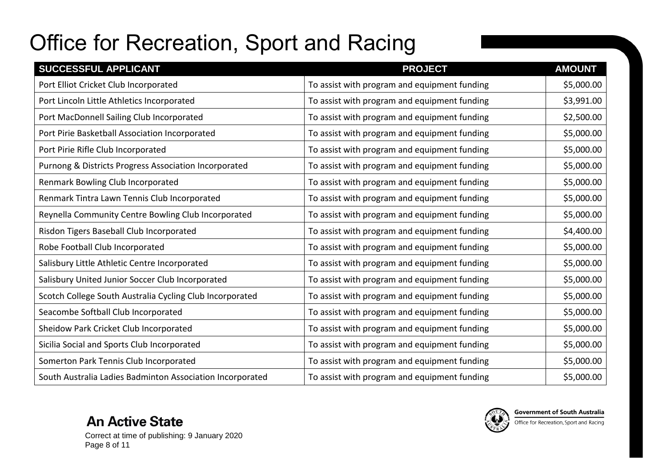| SUCCESSFUL APPLICANT                                      | <b>PROJECT</b>                               | <b>AMOUNT</b> |
|-----------------------------------------------------------|----------------------------------------------|---------------|
| Port Elliot Cricket Club Incorporated                     | To assist with program and equipment funding | \$5,000.00    |
| Port Lincoln Little Athletics Incorporated                | To assist with program and equipment funding | \$3,991.00    |
| Port MacDonnell Sailing Club Incorporated                 | To assist with program and equipment funding | \$2,500.00    |
| Port Pirie Basketball Association Incorporated            | To assist with program and equipment funding | \$5,000.00    |
| Port Pirie Rifle Club Incorporated                        | To assist with program and equipment funding | \$5,000.00    |
| Purnong & Districts Progress Association Incorporated     | To assist with program and equipment funding | \$5,000.00    |
| Renmark Bowling Club Incorporated                         | To assist with program and equipment funding | \$5,000.00    |
| Renmark Tintra Lawn Tennis Club Incorporated              | To assist with program and equipment funding | \$5,000.00    |
| Reynella Community Centre Bowling Club Incorporated       | To assist with program and equipment funding | \$5,000.00    |
| Risdon Tigers Baseball Club Incorporated                  | To assist with program and equipment funding | \$4,400.00    |
| Robe Football Club Incorporated                           | To assist with program and equipment funding | \$5,000.00    |
| Salisbury Little Athletic Centre Incorporated             | To assist with program and equipment funding | \$5,000.00    |
| Salisbury United Junior Soccer Club Incorporated          | To assist with program and equipment funding | \$5,000.00    |
| Scotch College South Australia Cycling Club Incorporated  | To assist with program and equipment funding | \$5,000.00    |
| Seacombe Softball Club Incorporated                       | To assist with program and equipment funding | \$5,000.00    |
| Sheidow Park Cricket Club Incorporated                    | To assist with program and equipment funding | \$5,000.00    |
| Sicilia Social and Sports Club Incorporated               | To assist with program and equipment funding | \$5,000.00    |
| Somerton Park Tennis Club Incorporated                    | To assist with program and equipment funding | \$5,000.00    |
| South Australia Ladies Badminton Association Incorporated | To assist with program and equipment funding | \$5,000.00    |



Correct at time of publishing: 9 January 2020 Page 8 of 11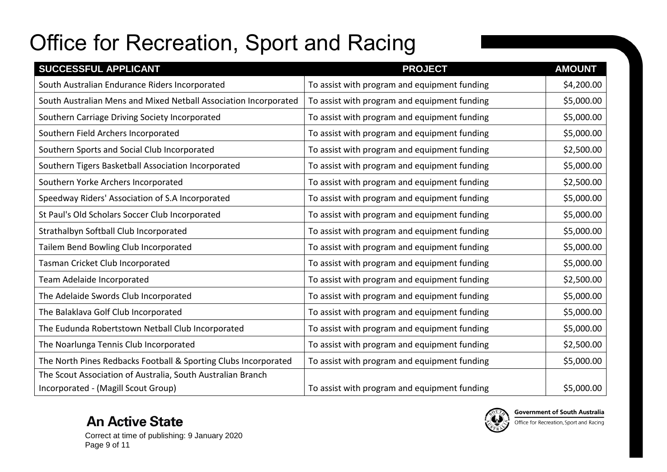| SUCCESSFUL APPLICANT                                             | <b>PROJECT</b>                               | <b>AMOUNT</b> |
|------------------------------------------------------------------|----------------------------------------------|---------------|
| South Australian Endurance Riders Incorporated                   | To assist with program and equipment funding | \$4,200.00    |
| South Australian Mens and Mixed Netball Association Incorporated | To assist with program and equipment funding | \$5,000.00    |
| Southern Carriage Driving Society Incorporated                   | To assist with program and equipment funding | \$5,000.00    |
| Southern Field Archers Incorporated                              | To assist with program and equipment funding | \$5,000.00    |
| Southern Sports and Social Club Incorporated                     | To assist with program and equipment funding | \$2,500.00    |
| Southern Tigers Basketball Association Incorporated              | To assist with program and equipment funding | \$5,000.00    |
| Southern Yorke Archers Incorporated                              | To assist with program and equipment funding | \$2,500.00    |
| Speedway Riders' Association of S.A Incorporated                 | To assist with program and equipment funding | \$5,000.00    |
| St Paul's Old Scholars Soccer Club Incorporated                  | To assist with program and equipment funding | \$5,000.00    |
| Strathalbyn Softball Club Incorporated                           | To assist with program and equipment funding | \$5,000.00    |
| Tailem Bend Bowling Club Incorporated                            | To assist with program and equipment funding | \$5,000.00    |
| Tasman Cricket Club Incorporated                                 | To assist with program and equipment funding | \$5,000.00    |
| Team Adelaide Incorporated                                       | To assist with program and equipment funding | \$2,500.00    |
| The Adelaide Swords Club Incorporated                            | To assist with program and equipment funding | \$5,000.00    |
| The Balaklava Golf Club Incorporated                             | To assist with program and equipment funding | \$5,000.00    |
| The Eudunda Robertstown Netball Club Incorporated                | To assist with program and equipment funding | \$5,000.00    |
| The Noarlunga Tennis Club Incorporated                           | To assist with program and equipment funding | \$2,500.00    |
| The North Pines Redbacks Football & Sporting Clubs Incorporated  | To assist with program and equipment funding | \$5,000.00    |
| The Scout Association of Australia, South Australian Branch      |                                              |               |
| Incorporated - (Magill Scout Group)                              | To assist with program and equipment funding | \$5,000.00    |



Correct at time of publishing: 9 January 2020 Page 9 of 11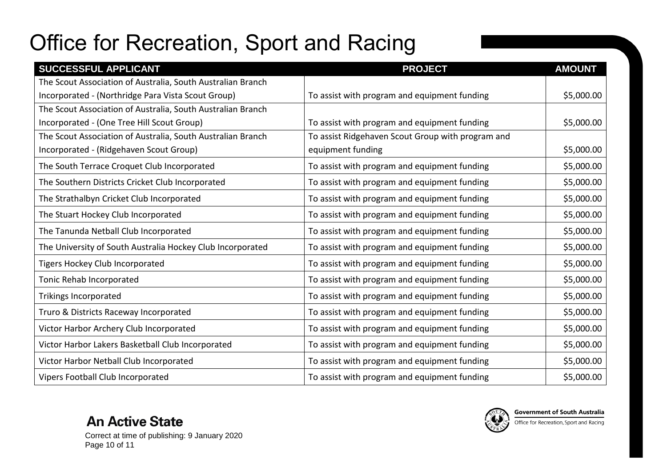| SUCCESSFUL APPLICANT                                        | <b>PROJECT</b>                                    | <b>AMOUNT</b> |
|-------------------------------------------------------------|---------------------------------------------------|---------------|
| The Scout Association of Australia, South Australian Branch |                                                   |               |
| Incorporated - (Northridge Para Vista Scout Group)          | To assist with program and equipment funding      | \$5,000.00    |
| The Scout Association of Australia, South Australian Branch |                                                   |               |
| Incorporated - (One Tree Hill Scout Group)                  | To assist with program and equipment funding      | \$5,000.00    |
| The Scout Association of Australia, South Australian Branch | To assist Ridgehaven Scout Group with program and |               |
| Incorporated - (Ridgehaven Scout Group)                     | equipment funding                                 | \$5,000.00    |
| The South Terrace Croquet Club Incorporated                 | To assist with program and equipment funding      | \$5,000.00    |
| The Southern Districts Cricket Club Incorporated            | To assist with program and equipment funding      | \$5,000.00    |
| The Strathalbyn Cricket Club Incorporated                   | To assist with program and equipment funding      | \$5,000.00    |
| The Stuart Hockey Club Incorporated                         | To assist with program and equipment funding      | \$5,000.00    |
| The Tanunda Netball Club Incorporated                       | To assist with program and equipment funding      | \$5,000.00    |
| The University of South Australia Hockey Club Incorporated  | To assist with program and equipment funding      | \$5,000.00    |
| Tigers Hockey Club Incorporated                             | To assist with program and equipment funding      | \$5,000.00    |
| Tonic Rehab Incorporated                                    | To assist with program and equipment funding      | \$5,000.00    |
| <b>Trikings Incorporated</b>                                | To assist with program and equipment funding      | \$5,000.00    |
| Truro & Districts Raceway Incorporated                      | To assist with program and equipment funding      | \$5,000.00    |
| Victor Harbor Archery Club Incorporated                     | To assist with program and equipment funding      | \$5,000.00    |
| Victor Harbor Lakers Basketball Club Incorporated           | To assist with program and equipment funding      | \$5,000.00    |
| Victor Harbor Netball Club Incorporated                     | To assist with program and equipment funding      | \$5,000.00    |
| Vipers Football Club Incorporated                           | To assist with program and equipment funding      | \$5,000.00    |

**An Active State** Correct at time of publishing: 9 January 2020 Page 10 of 11



Office for Recreation, Sport and Racing